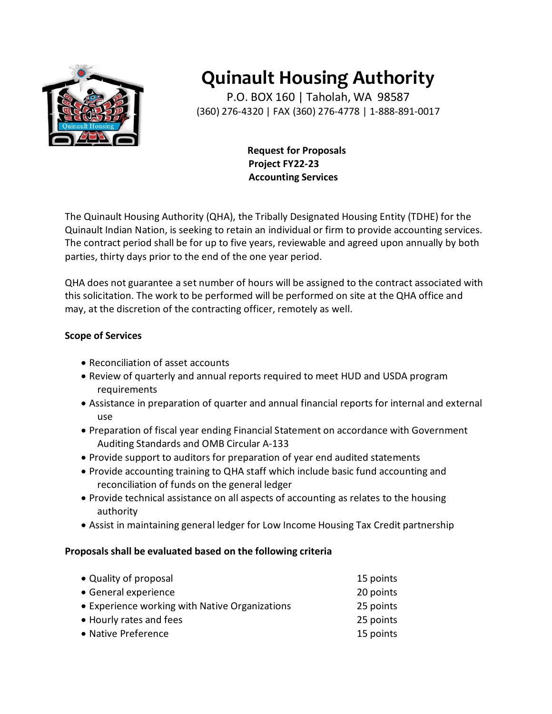

# **Quinault Housing Authority**

P.O. BOX 160 | Taholah, WA 98587 (360) 276-4320 | FAX (360) 276-4778 | 1-888-891-0017

> **Request for Proposals Project FY22-23 Accounting Services**

The Quinault Housing Authority (QHA), the Tribally Designated Housing Entity (TDHE) for the Quinault Indian Nation, is seeking to retain an individual or firm to provide accounting services. The contract period shall be for up to five years, reviewable and agreed upon annually by both parties, thirty days prior to the end of the one year period.

QHA does not guarantee a set number of hours will be assigned to the contract associated with this solicitation. The work to be performed will be performed on site at the QHA office and may, at the discretion of the contracting officer, remotely as well.

# **Scope of Services**

- Reconciliation of asset accounts
- Review of quarterly and annual reports required to meet HUD and USDA program requirements
- Assistance in preparation of quarter and annual financial reports for internal and external use
- Preparation of fiscal year ending Financial Statement on accordance with Government Auditing Standards and OMB Circular A-133
- Provide support to auditors for preparation of year end audited statements
- Provide accounting training to QHA staff which include basic fund accounting and reconciliation of funds on the general ledger
- Provide technical assistance on all aspects of accounting as relates to the housing authority
- Assist in maintaining general ledger for Low Income Housing Tax Credit partnership

## **Proposals shall be evaluated based on the following criteria**

| • Quality of proposal                          | 15 points |
|------------------------------------------------|-----------|
| • General experience                           | 20 points |
| • Experience working with Native Organizations | 25 points |
| • Hourly rates and fees                        | 25 points |
| • Native Preference                            | 15 points |